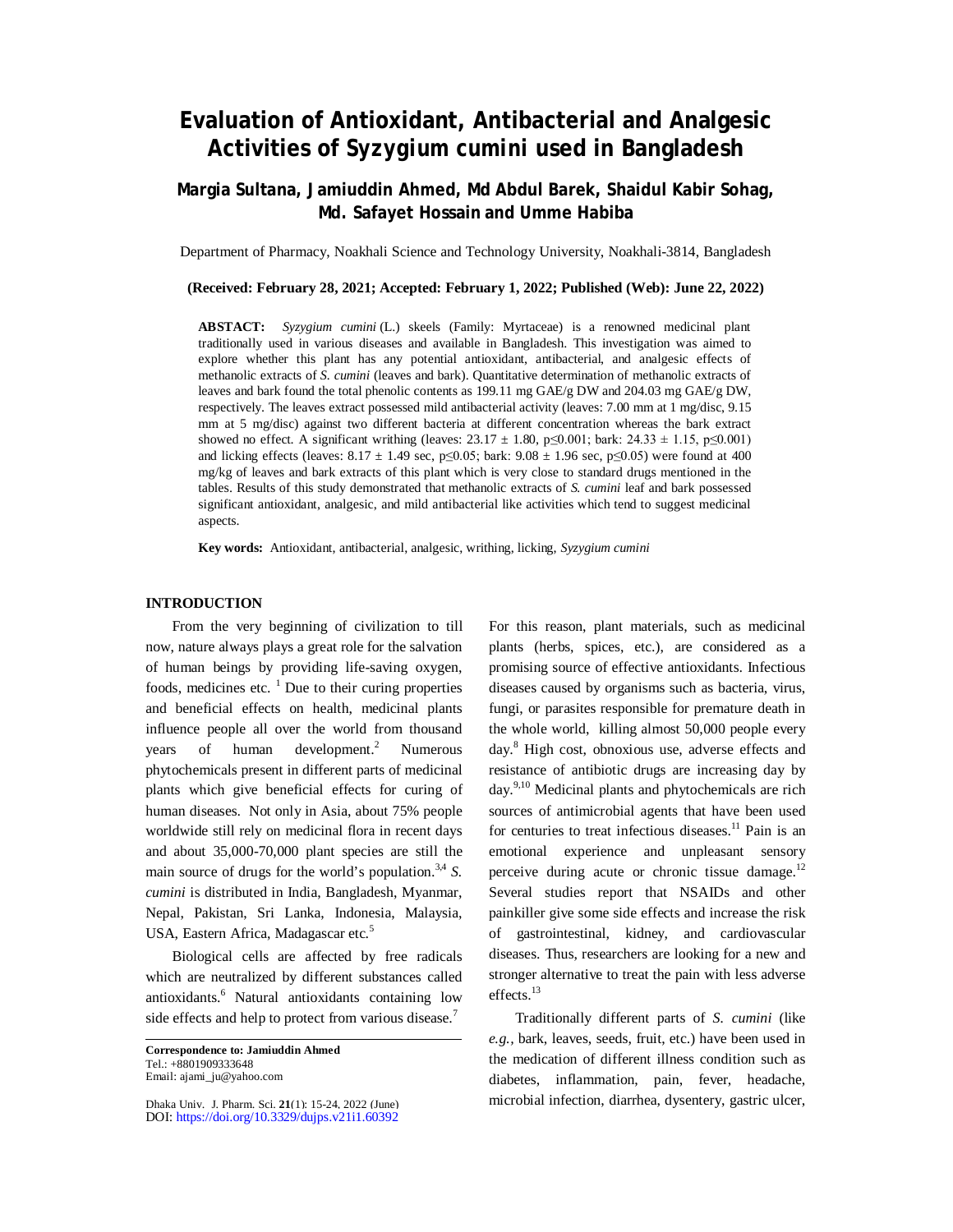# **Evaluation of Antioxidant, Antibacterial and Analgesic Activities of** *Syzygium cumini* **used in Bangladesh**

# **Margia Sultana, Jamiuddin Ahmed, Md Abdul Barek, Shaidul Kabir Sohag, Md. Safayet Hossain and Umme Habiba**

Department of Pharmacy, Noakhali Science and Technology University, Noakhali-3814, Bangladesh

**(Received: February 28, 2021; Accepted: February 1, 2022; Published (Web): June 22, 2022)**

**ABSTACT:** *Syzygium cumini* (L.) skeels (Family: Myrtaceae) is a renowned medicinal plant traditionally used in various diseases and available in Bangladesh. This investigation was aimed to explore whether this plant has any potential antioxidant, antibacterial, and analgesic effects of methanolic extracts of *S. cumini* (leaves and bark). Quantitative determination of methanolic extracts of leaves and bark found the total phenolic contents as 199.11 mg GAE/g DW and 204.03 mg GAE/g DW, respectively. The leaves extract possessed mild antibacterial activity (leaves: 7.00 mm at 1 mg/disc, 9.15 mm at 5 mg/disc) against two different bacteria at different concentration whereas the bark extract showed no effect. A significant writhing (leaves:  $23.17 \pm 1.80$ , p $\leq 0.001$ ; bark:  $24.33 \pm 1.15$ , p $\leq 0.001$ ) and licking effects (leaves:  $8.17 \pm 1.49$  sec, p≤0.05; bark:  $9.08 \pm 1.96$  sec, p≤0.05) were found at 400 mg/kg of leaves and bark extracts of this plant which is very close to standard drugs mentioned in the tables. Results of this study demonstrated that methanolic extracts of *S. cumini* leaf and bark possessed significant antioxidant, analgesic, and mild antibacterial like activities which tend to suggest medicinal aspects.

**Key words:** Antioxidant, antibacterial, analgesic, writhing, licking, *Syzygium cumini*

#### **INTRODUCTION**

From the very beginning of civilization to till now, nature always plays a great role for the salvation of human beings by providing life-saving oxygen, foods, medicines etc.  $\frac{1}{1}$  Due to their curing properties and beneficial effects on health, medicinal plants influence people all over the world from thousand years of human development. $^{2}$ Numerous phytochemicals present in different parts of medicinal plants which give beneficial effects for curing of human diseases. Not only in Asia, about 75% people worldwide still rely on medicinal flora in recent days and about 35,000-70,000 plant species are still the main source of drugs for the world's population.<sup>3,4</sup> S. *cumini* is distributed in India, Bangladesh, Myanmar, Nepal, Pakistan, Sri Lanka, Indonesia, Malaysia, USA, Eastern Africa, Madagascar etc.<sup>5</sup>

Biological cells are affected by free radicals which are neutralized by different substances called antioxidants.<sup>6</sup> Natural antioxidants containing low side effects and help to protect from various disease.<sup>7</sup>

Dhaka Univ. J. Pharm. Sci. **21**(1): 15-24, 2022 (June) DOI:<https://doi.org/10.3329/dujps.v21i1.60392> For this reason, plant materials, such as medicinal plants (herbs, spices, etc.), are considered as a promising source of effective antioxidants. Infectious diseases caused by organisms such as bacteria, virus, fungi, or parasites responsible for premature death in the whole world, killing almost 50,000 people every day. <sup>8</sup> High cost, obnoxious use, adverse effects and resistance of antibiotic drugs are increasing day by day.<sup>9,10</sup> Medicinal plants and phytochemicals are rich sources of antimicrobial agents that have been used for centuries to treat infectious diseases.<sup>11</sup> Pain is an emotional experience and unpleasant sensory perceive during acute or chronic tissue damage.<sup>12</sup> Several studies report that NSAIDs and other painkiller give some side effects and increase the risk of gastrointestinal, kidney, and cardiovascular diseases. Thus, researchers are looking for a new and stronger alternative to treat the pain with less adverse effects.<sup>13</sup>

Traditionally different parts of *S. cumini* (like *e.g.,* bark, leaves, seeds, fruit, etc.) have been used in the medication of different illness condition such as diabetes, inflammation, pain, fever, headache, microbial infection, diarrhea, dysentery, gastric ulcer,

**Correspondence to: Jamiuddin Ahmed**  Tel.: +8801909333648 Email: [ajami\\_ju@yahoo.com](mailto:ajami_ju@yahoo.com)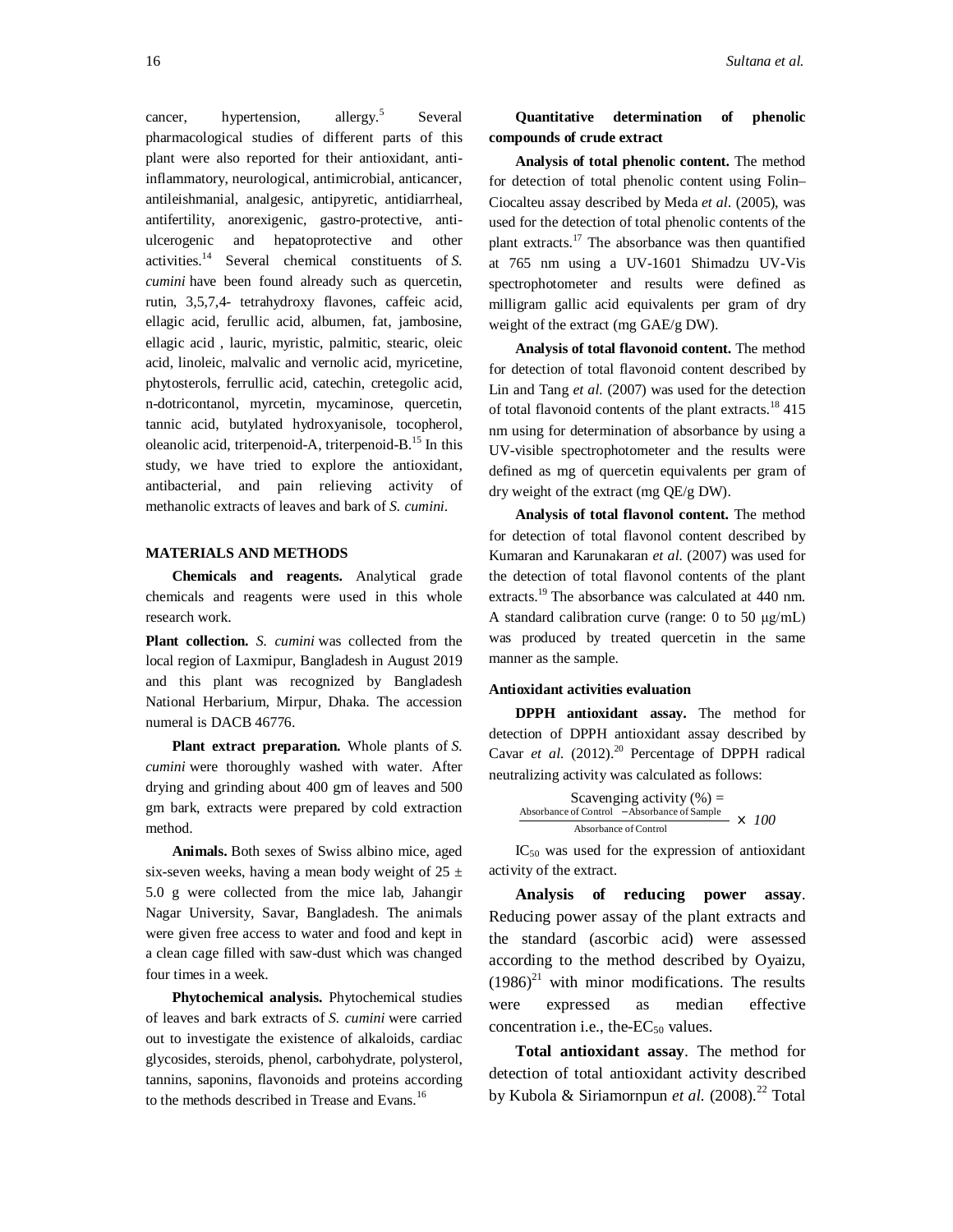cancer, hypertension, allergy.<sup>5</sup> Several pharmacological studies of different parts of this plant were also reported for their antioxidant, antiinflammatory, neurological, antimicrobial, anticancer, antileishmanial, analgesic, antipyretic, antidiarrheal, antifertility, anorexigenic, gastro-protective, antiulcerogenic and hepatoprotective and other activities. <sup>14</sup> Several chemical constituents of *S. cumini* have been found already such as quercetin, rutin, 3,5,7,4- tetrahydroxy flavones, caffeic acid, ellagic acid, ferullic acid, albumen, fat, jambosine, ellagic acid , lauric, myristic, palmitic, stearic, oleic acid, linoleic, malvalic and vernolic acid, myricetine, phytosterols, ferrullic acid, catechin, cretegolic acid, n-dotricontanol, myrcetin, mycaminose, quercetin, tannic acid, butylated hydroxyanisole, tocopherol, oleanolic acid, triterpenoid-A, triterpenoid-B.<sup>15</sup> In this study, we have tried to explore the antioxidant, antibacterial, and pain relieving activity of methanolic extracts of leaves and bark of *S. cumini*.

## **MATERIALS AND METHODS**

**Chemicals and reagents.** Analytical grade chemicals and reagents were used in this whole research work.

**Plant collection.** *S. cumini* was collected from the local region of Laxmipur, Bangladesh in August 2019 and this plant was recognized by Bangladesh National Herbarium, Mirpur, Dhaka. The accession numeral is DACB 46776.

**Plant extract preparation.** Whole plants of *S. cumini* were thoroughly washed with water. After drying and grinding about 400 gm of leaves and 500 gm bark, extracts were prepared by cold extraction method.

**Animals.** Both sexes of Swiss albino mice, aged six-seven weeks, having a mean body weight of 25  $\pm$ 5.0 g were collected from the mice lab, Jahangir Nagar University, Savar, Bangladesh. The animals were given free access to water and food and kept in a clean cage filled with saw-dust which was changed four times in a week.

**Phytochemical analysis.** Phytochemical studies of leaves and bark extracts of *S. cumini* were carried out to investigate the existence of alkaloids, cardiac glycosides, steroids, phenol, carbohydrate, polysterol, tannins, saponins, flavonoids and proteins according to the methods described in Trease and Evans.<sup>16</sup>

# **Quantitative determination of phenolic compounds of crude extract**

**Analysis of total phenolic content.** The method for detection of total phenolic content using Folin– Ciocalteu assay described by Meda *et al*. (2005), was used for the detection of total phenolic contents of the plant extracts.<sup>17</sup> The absorbance was then quantified at 765 nm using a UV-1601 Shimadzu UV-Vis spectrophotometer and results were defined as milligram gallic acid equivalents per gram of dry weight of the extract (mg GAE/g DW).

**Analysis of total flavonoid content.** The method for detection of total flavonoid content described by Lin and Tang *et al.* (2007) was used for the detection of total flavonoid contents of the plant extracts.<sup>18</sup> 415 nm using for determination of absorbance by using a UV-visible spectrophotometer and the results were defined as mg of quercetin equivalents per gram of dry weight of the extract (mg QE/g DW).

**Analysis of total flavonol content.** The method for detection of total flavonol content described by Kumaran and Karunakaran *et al.* (2007) was used for the detection of total flavonol contents of the plant extracts.<sup>19</sup> The absorbance was calculated at 440 nm. A standard calibration curve (range: 0 to 50 μg/mL) was produced by treated quercetin in the same manner as the sample.

#### **Antioxidant activities evaluation**

**DPPH antioxidant assay.** The method for detection of DPPH antioxidant assay described by Cavar *et al.* (2012).<sup>20</sup> Percentage of DPPH radical neutralizing activity was calculated as follows:

| Scavenging activity $(\%) =$                |              |
|---------------------------------------------|--------------|
| Absorbance of Control -Absorbance of Sample | $\times 100$ |
| Absorbance of Control                       |              |

IC<sup>50</sup> was used for the expression of antioxidant activity of the extract.

**Analysis of reducing power assay**. Reducing power assay of the plant extracts and the standard (ascorbic acid) were assessed according to the method described by Oyaizu,  $(1986)^{21}$  with minor modifications. The results were expressed as median effective concentration i.e., the- $EC_{50}$  values.

**Total antioxidant assay**. The method for detection of total antioxidant activity described by Kubola & Siriamornpun *et al.* (2008).<sup>22</sup> Total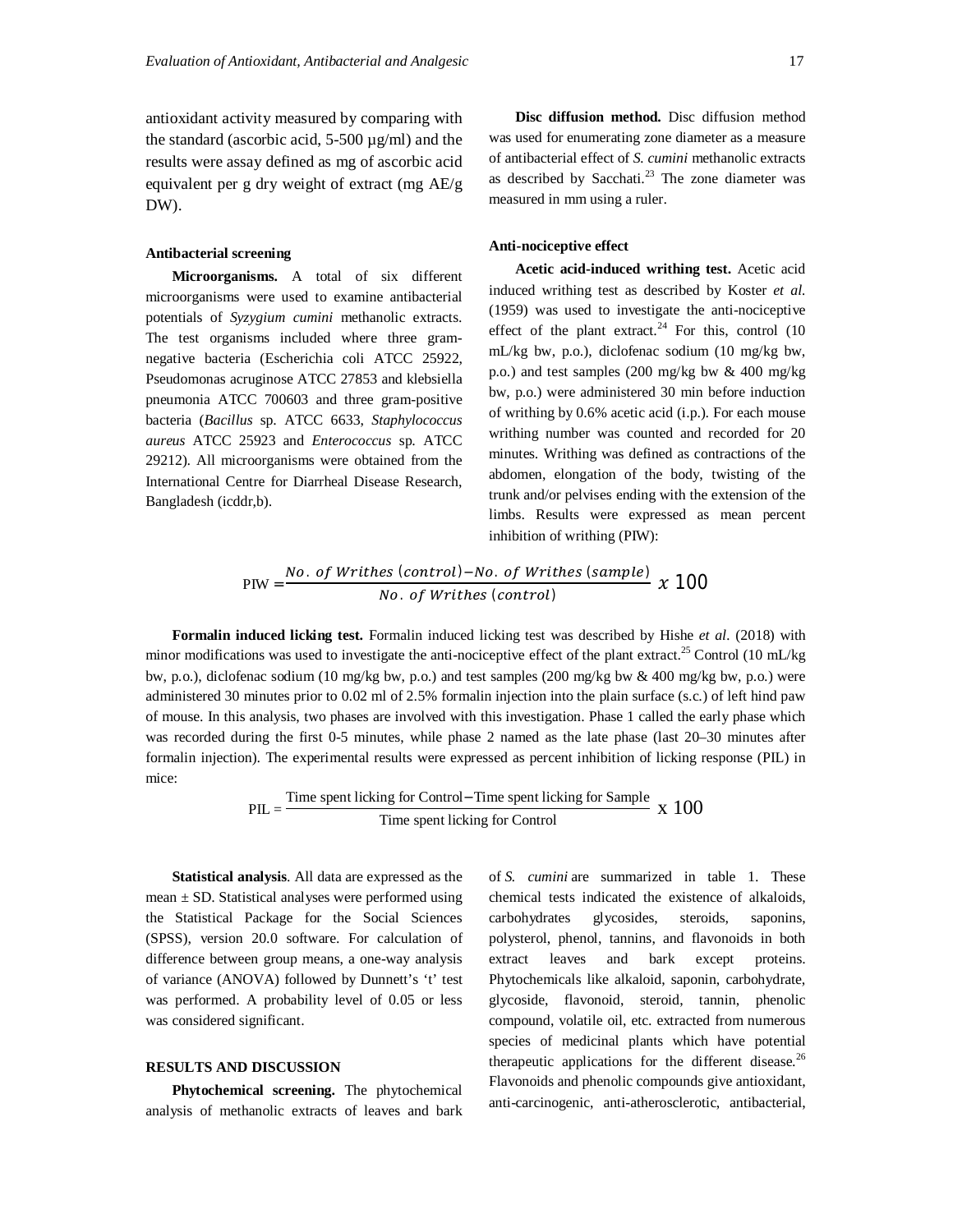antioxidant activity measured by comparing with the standard (ascorbic acid, 5-500 µg/ml) and the results were assay defined as mg of ascorbic acid equivalent per g dry weight of extract (mg AE/g DW).

#### **Antibacterial screening**

**Microorganisms.** A total of six different microorganisms were used to examine antibacterial potentials of *Syzygium cumini* methanolic extracts. The test organisms included where three gramnegative bacteria (Escherichia coli ATCC 25922, Pseudomonas acruginose ATCC 27853 and klebsiella pneumonia ATCC 700603 and three gram-positive bacteria (*Bacillus* sp. ATCC 6633, *Staphylococcus aureus* ATCC 25923 and *Enterococcus* sp. ATCC 29212). All microorganisms were obtained from the International Centre for Diarrheal Disease Research, Bangladesh (icddr,b).

**Disc diffusion method.** Disc diffusion method was used for enumerating zone diameter as a measure of antibacterial effect of *S. cumini* methanolic extracts as described by Sacchati. $^{23}$  The zone diameter was measured in mm using a ruler.

### **Anti-nociceptive effect**

**Acetic acid-induced writhing test.** Acetic acid induced writhing test as described by Koster *et al.* (1959) was used to investigate the anti-nociceptive effect of the plant extract.<sup>24</sup> For this, control  $(10)$ mL/kg bw, p.o.), diclofenac sodium (10 mg/kg bw, p.o.) and test samples (200 mg/kg bw & 400 mg/kg bw, p.o.) were administered 30 min before induction of writhing by 0.6% acetic acid (i.p.). For each mouse writhing number was counted and recorded for 20 minutes. Writhing was defined as contractions of the abdomen, elongation of the body, twisting of the trunk and/or pelvises ending with the extension of the limbs. Results were expressed as mean percent inhibition of writhing (PIW):

$$
PIW = \frac{No. \ of \ Writhes \ (control) - No. \ of \ Writhes \ (sample)}{No. \ of \ Writhes \ (control)} \ \ \chi \ 100
$$

**Formalin induced licking test.** Formalin induced licking test was described by Hishe *et al.* (2018) with minor modifications was used to investigate the anti-nociceptive effect of the plant extract.<sup>25</sup> Control (10 mL/kg) bw, p.o.), diclofenac sodium (10 mg/kg bw, p.o.) and test samples (200 mg/kg bw & 400 mg/kg bw, p.o.) were administered 30 minutes prior to 0.02 ml of 2.5% formalin injection into the plain surface (s.c.) of left hind paw of mouse. In this analysis, two phases are involved with this investigation. Phase 1 called the early phase which was recorded during the first 0-5 minutes, while phase 2 named as the late phase (last 20–30 minutes after formalin injection). The experimental results were expressed as percent inhibition of licking response (PIL) in mice:

$$
PIL = \frac{Time spentlicking for Control - Time spentlicking for SampleTime spentlicking for Control} \times 100
$$

**Statistical analysis**. All data are expressed as the mean  $\pm$  SD. Statistical analyses were performed using the Statistical Package for the Social Sciences (SPSS), version 20.0 software. For calculation of difference between group means, a one-way analysis of variance (ANOVA) followed by Dunnett's 't' test was performed. A probability level of 0.05 or less was considered significant.

#### **RESULTS AND DISCUSSION**

**Phytochemical screening.** The phytochemical analysis of methanolic extracts of leaves and bark of *S. cumini* are summarized in table 1. These chemical tests indicated the existence of alkaloids, carbohydrates glycosides, steroids, saponins, polysterol, phenol, tannins, and flavonoids in both extract leaves and bark except proteins. Phytochemicals like alkaloid, saponin, carbohydrate, glycoside, flavonoid, steroid, tannin, phenolic compound, volatile oil, etc. extracted from numerous species of medicinal plants which have potential therapeutic applications for the different disease.<sup>26</sup> Flavonoids and phenolic compounds give antioxidant, anti-carcinogenic, anti-atherosclerotic, antibacterial,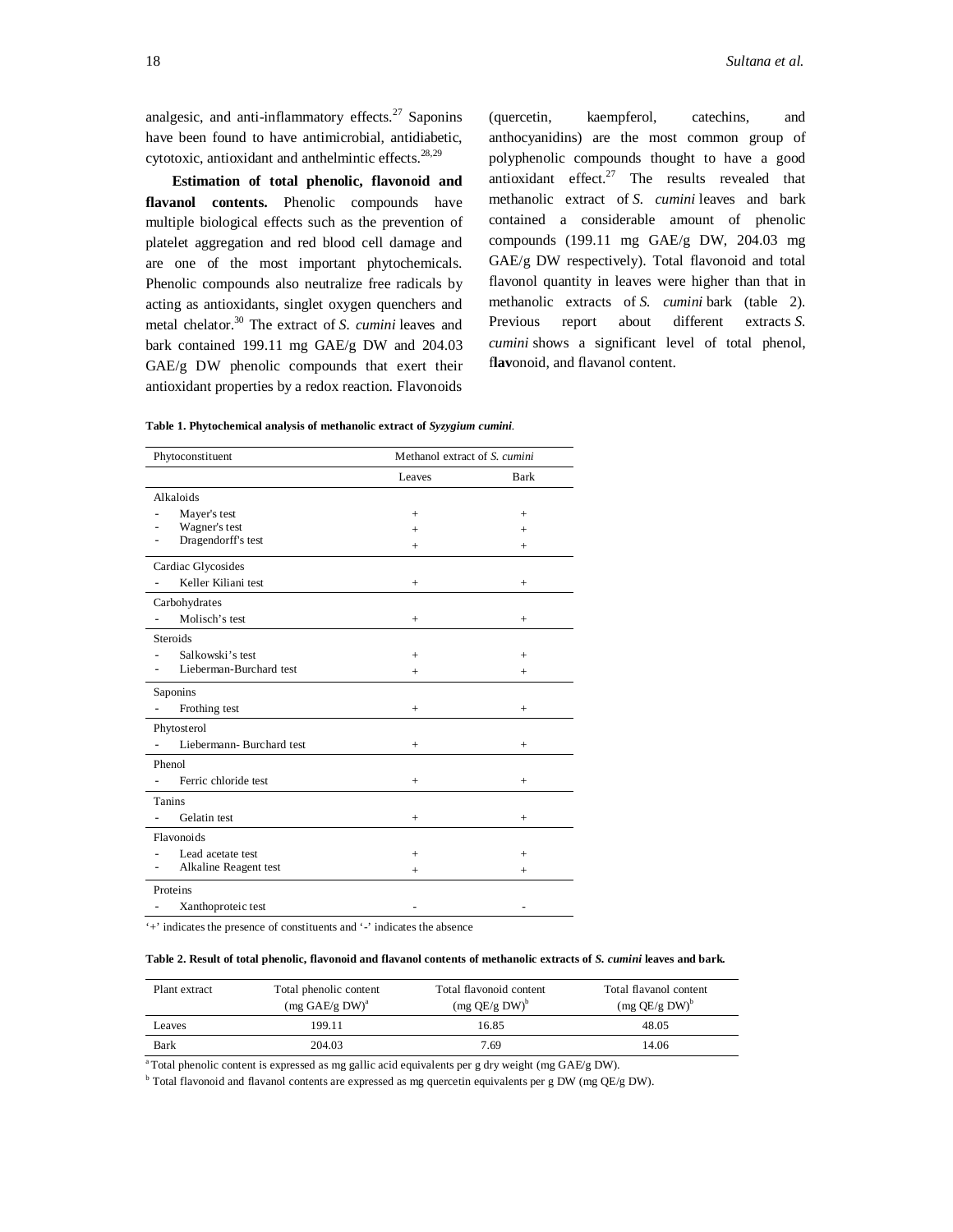analgesic, and anti-inflammatory effects. $27$  Saponins have been found to have antimicrobial, antidiabetic, cytotoxic, antioxidant and anthelmintic effects. $28,29$ 

**Estimation of total phenolic, flavonoid and flavanol contents.** Phenolic compounds have multiple biological effects such as the prevention of platelet aggregation and red blood cell damage and are one of the most important phytochemicals. Phenolic compounds also neutralize free radicals by acting as antioxidants, singlet oxygen quenchers and metal chelator.<sup>30</sup> The extract of *S. cumini* leaves and bark contained 199.11 mg GAE/g DW and 204.03 GAE/g DW phenolic compounds that exert their antioxidant properties by a redox reaction. Flavonoids

(quercetin, kaempferol, catechins, and anthocyanidins) are the most common group of polyphenolic compounds thought to have a good antioxidant effect. $27$  The results revealed that methanolic extract of *S. cumini* leaves and bark contained a considerable amount of phenolic compounds (199.11 mg GAE/g DW, 204.03 mg GAE/g DW respectively). Total flavonoid and total flavonol quantity in leaves were higher than that in methanolic extracts of *S. cumini* bark (table 2)*.* Previous report about different extracts *S. cumini* shows a significant level of total phenol, f**lav**onoid, and flavanol content.

|  |  |  | Table 1. Phytochemical analysis of methanolic extract of Syzygium cumini. |  |  |
|--|--|--|---------------------------------------------------------------------------|--|--|
|  |  |  |                                                                           |  |  |
|  |  |  |                                                                           |  |  |

| Phytoconstituent         | Methanol extract of S. cumini |             |  |  |
|--------------------------|-------------------------------|-------------|--|--|
|                          | Leaves                        | <b>Bark</b> |  |  |
| Alkaloids                |                               |             |  |  |
| Mayer's test             | $^{+}$                        | $^{+}$      |  |  |
| Wagner's test            | $^{+}$                        | $^{+}$      |  |  |
| Dragendorff's test       | $^{+}$                        | $^{+}$      |  |  |
| Cardiac Glycosides       |                               |             |  |  |
| Keller Kiliani test      | $^{+}$                        | $^{+}$      |  |  |
| Carbohydrates            |                               |             |  |  |
| Molisch's test           | $^{+}$                        | $^{+}$      |  |  |
| <b>Steroids</b>          |                               |             |  |  |
| Salkowski's test         | $^{+}$                        | $^{+}$      |  |  |
| Lieberman-Burchard test  | $^{+}$                        | $^{+}$      |  |  |
| Saponins                 |                               |             |  |  |
| Frothing test            | $^{+}$                        | $^{+}$      |  |  |
| Phytosterol              |                               |             |  |  |
| Liebermann-Burchard test | $^{+}$                        | $^{+}$      |  |  |
| Phenol                   |                               |             |  |  |
| Ferric chloride test     | $^{+}$                        | $^{+}$      |  |  |
| <b>Tanins</b>            |                               |             |  |  |
| Gelatin test             | $^{+}$                        | $^{+}$      |  |  |
| Flavonoids               |                               |             |  |  |
| Lead acetate test        | $^{+}$                        | $^{+}$      |  |  |
| Alkaline Reagent test    | $^{+}$                        | $^{+}$      |  |  |
| Proteins                 |                               |             |  |  |
| Xanthoproteic test       |                               |             |  |  |

'+' indicates the presence of constituents and '-' indicates the absence

#### **Table 2. Result of total phenolic, flavonoid and flavanol contents of methanolic extracts of** *S. cumini* **leaves and bark***.*

| Plant extract | Total phenolic content<br>$(mg \text{ GAE/g DW})^a$ | Total flavonoid content<br>$(mg \tQE/g \tDW)^b$ | Total flavanol content<br>$(mg \tQE/g \tDW)^b$ |
|---------------|-----------------------------------------------------|-------------------------------------------------|------------------------------------------------|
| Leaves        | 199.11                                              | 16.85                                           | 48.05                                          |
| <b>Bark</b>   | 204.03                                              | 7.69                                            | 14.06                                          |

<sup>a</sup>Total phenolic content is expressed as mg gallic acid equivalents per g dry weight (mg GAE/g DW).

 $^{\text{b}}$  Total flavonoid and flavanol contents are expressed as mg quercetin equivalents per g DW (mg QE/g DW).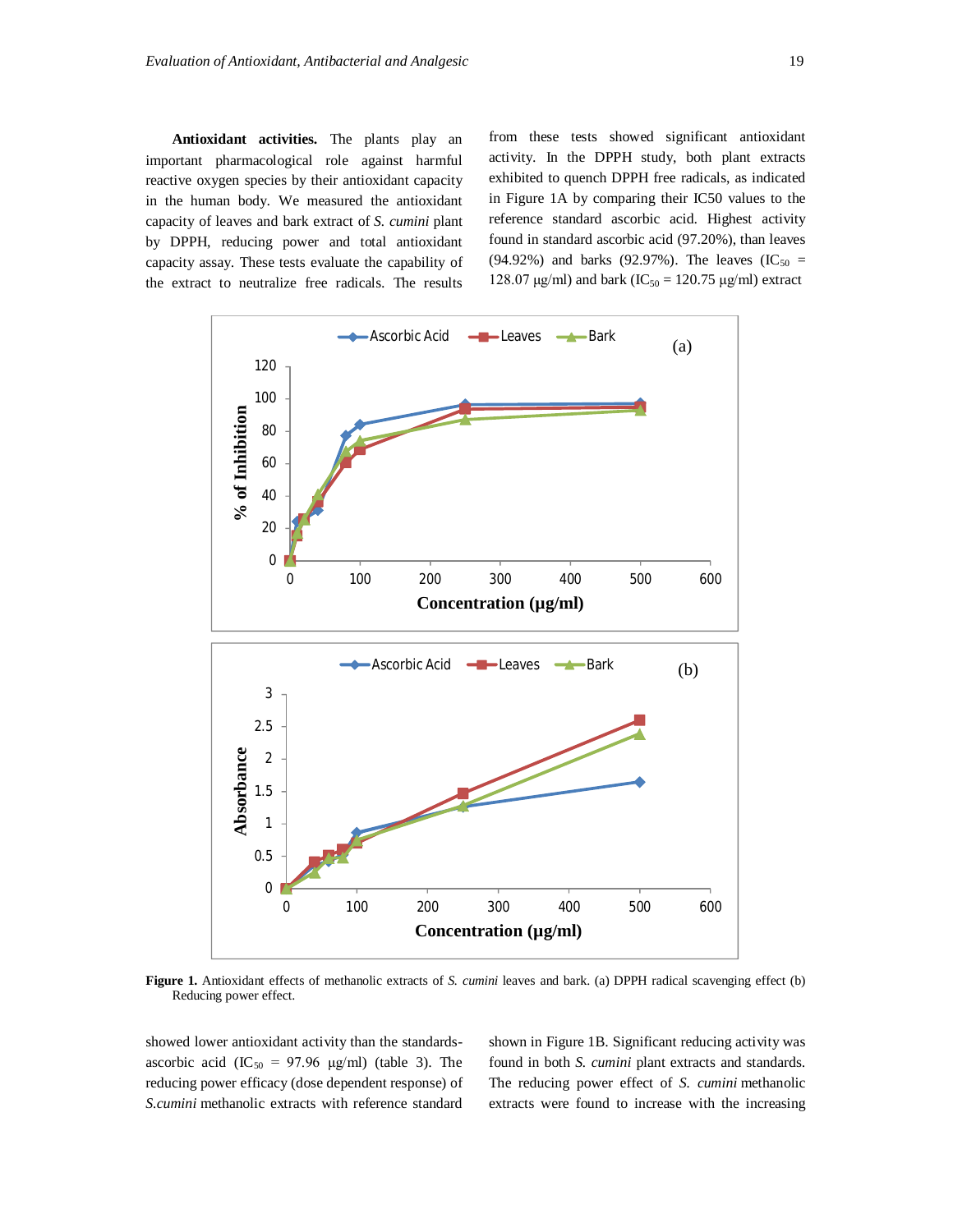**Antioxidant activities.** The plants play an important pharmacological role against harmful reactive oxygen species by their antioxidant capacity in the human body. We measured the antioxidant capacity of leaves and bark extract of *S. cumini* plant by DPPH, reducing power and total antioxidant capacity assay. These tests evaluate the capability of the extract to neutralize free radicals. The results from these tests showed significant antioxidant activity. In the DPPH study, both plant extracts exhibited to quench DPPH free radicals, as indicated in Figure 1A by comparing their IC50 values to the reference standard ascorbic acid. Highest activity found in standard ascorbic acid (97.20%), than leaves (94.92%) and barks (92.97%). The leaves (IC<sub>50</sub> = 128.07 μg/ml) and bark (IC<sub>50</sub> = 120.75 μg/ml) extract



**Figure 1.** Antioxidant effects of methanolic extracts of *S. cumini* leaves and bark. (a) DPPH radical scavenging effect (b) Reducing power effect.

showed lower antioxidant activity than the standardsascorbic acid (IC<sub>50</sub> = 97.96  $\mu$ g/ml) (table 3). The reducing power efficacy (dose dependent response) of *S.cumini* methanolic extracts with reference standard

shown in Figure 1B. Significant reducing activity was found in both *S. cumini* plant extracts and standards. The reducing power effect of *S. cumini* methanolic extracts were found to increase with the increasing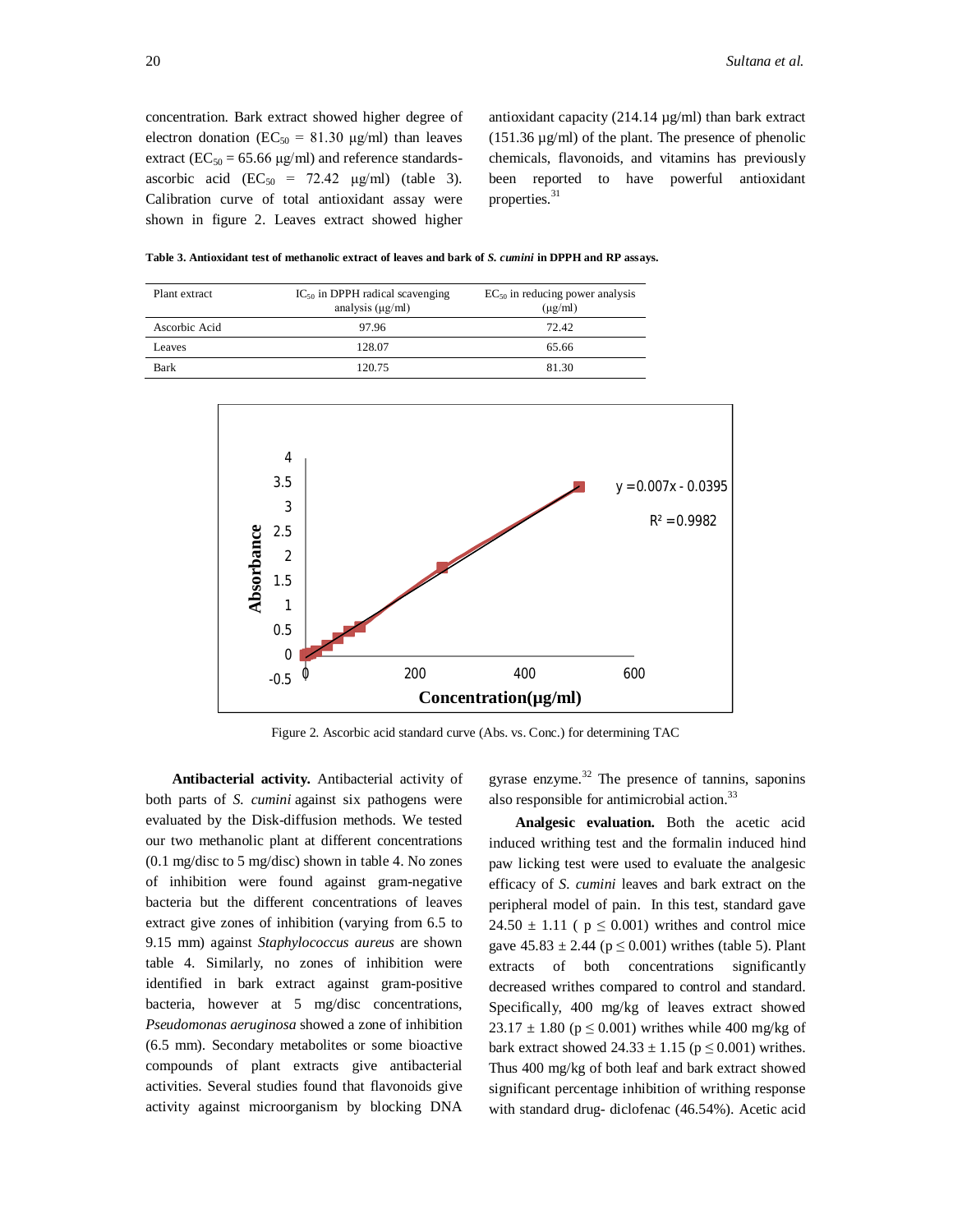concentration. Bark extract showed higher degree of electron donation ( $EC_{50} = 81.30 \text{ µg/ml}$ ) than leaves extract ( $EC_{50} = 65.66 \text{ µg/ml}$ ) and reference standardsascorbic acid  $(EC_{50} = 72.42 \text{ µg/ml})$  (table 3). Calibration curve of total antioxidant assay were shown in figure 2. Leaves extract showed higher antioxidant capacity (214.14 µg/ml) than bark extract  $(151.36 \,\mu\text{g/ml})$  of the plant. The presence of phenolic chemicals, flavonoids, and vitamins has previously been reported to have powerful antioxidant properties. 31

**Table 3. Antioxidant test of methanolic extract of leaves and bark of** *S. cumini* **in DPPH and RP assays.** 

| Plant extract | $IC_{50}$ in DPPH radical scavenging<br>analysis $(\mu g/ml)$ | $EC_{50}$ in reducing power analysis<br>$(\mu g/ml)$ |
|---------------|---------------------------------------------------------------|------------------------------------------------------|
| Ascorbic Acid | 97.96                                                         | 72.42                                                |
| Leaves        | 128.07                                                        | 65.66                                                |
| Bark          | 120.75                                                        | 81 30                                                |



Figure 2. Ascorbic acid standard curve (Abs. vs. Conc.) for determining TAC

**Antibacterial activity.** Antibacterial activity of both parts of *S. cumini* against six pathogens were evaluated by the Disk-diffusion methods. We tested our two methanolic plant at different concentrations (0.1 mg/disc to 5 mg/disc) shown in table 4. No zones of inhibition were found against gram-negative bacteria but the different concentrations of leaves extract give zones of inhibition (varying from 6.5 to 9.15 mm) against *Staphylococcus aureus* are shown table 4. Similarly, no zones of inhibition were identified in bark extract against gram-positive bacteria, however at 5 mg/disc concentrations, *Pseudomonas aeruginosa* showed a zone of inhibition (6.5 mm). Secondary metabolites or some bioactive compounds of plant extracts give antibacterial activities. Several studies found that flavonoids give activity against microorganism by blocking DNA

gyrase enzyme. $32$  The presence of tannins, saponins also responsible for antimicrobial action.<sup>33</sup>

**Analgesic evaluation.** Both the acetic acid induced writhing test and the formalin induced hind paw licking test were used to evaluate the analgesic efficacy of *S. cumini* leaves and bark extract on the peripheral model of pain. In this test, standard gave  $24.50 \pm 1.11$  (  $p \le 0.001$ ) writhes and control mice gave  $45.83 \pm 2.44$  ( $p \le 0.001$ ) writhes (table 5). Plant extracts of both concentrations significantly decreased writhes compared to control and standard. Specifically, 400 mg/kg of leaves extract showed  $23.17 \pm 1.80$  (p  $\leq 0.001$ ) writhes while 400 mg/kg of bark extract showed  $24.33 \pm 1.15$  ( $p \le 0.001$ ) writhes. Thus 400 mg/kg of both leaf and bark extract showed significant percentage inhibition of writhing response with standard drug- diclofenac (46.54%). Acetic acid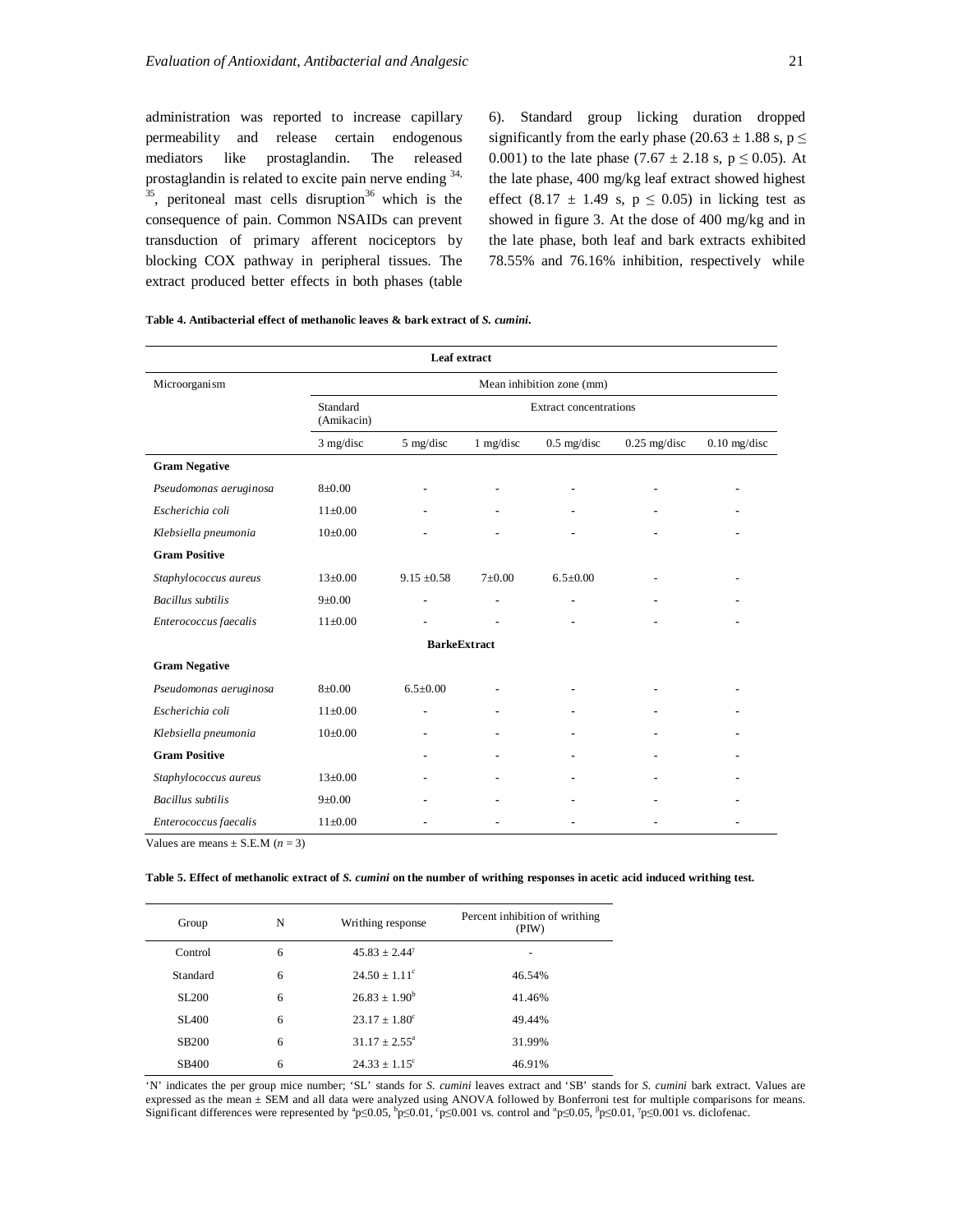administration was reported to increase capillary permeability and release certain endogenous mediators like prostaglandin. The released prostaglandin is related to excite pain nerve ending  $34$ ,  $35$ , peritoneal mast cells disruption<sup>36</sup> which is the consequence of pain. Common NSAIDs can prevent transduction of primary afferent nociceptors by blocking COX pathway in peripheral tissues. The extract produced better effects in both phases (table

6). Standard group licking duration dropped significantly from the early phase (20.63  $\pm$  1.88 s, p  $\le$ 0.001) to the late phase  $(7.67 \pm 2.18 \text{ s}, \text{p} \le 0.05)$ . At the late phase, 400 mg/kg leaf extract showed highest effect (8.17  $\pm$  1.49 s, p  $\leq$  0.05) in licking test as showed in figure 3. At the dose of 400 mg/kg and in the late phase, both leaf and bark extracts exhibited 78.55% and 76.16% inhibition, respectively while

|  |  |  |  |  | Table 4. Antibacterial effect of methanolic leaves & bark extract of S. cumini. |  |
|--|--|--|--|--|---------------------------------------------------------------------------------|--|
|--|--|--|--|--|---------------------------------------------------------------------------------|--|

| Leaf extract             |                           |                     |            |                               |                |                |
|--------------------------|---------------------------|---------------------|------------|-------------------------------|----------------|----------------|
| Microorganism            | Mean inhibition zone (mm) |                     |            |                               |                |                |
|                          | Standard<br>(Amikacin)    |                     |            | <b>Extract concentrations</b> |                |                |
|                          | $3$ mg/disc               | 5 mg/disc           | 1 mg/disc  | $0.5$ mg/disc                 | $0.25$ mg/disc | $0.10$ mg/disc |
| <b>Gram Negative</b>     |                           |                     |            |                               |                |                |
| Pseudomonas aeruginosa   | $8 + 0.00$                |                     |            |                               |                |                |
| Escherichia coli         | $11\pm0.00$               |                     |            |                               |                |                |
| Klebsiella pneumonia     | $10\pm0.00$               |                     |            |                               |                |                |
| <b>Gram Positive</b>     |                           |                     |            |                               |                |                |
| Staphylococcus aureus    | $13 \pm 0.00$             | $9.15 \pm 0.58$     | $7\pm0.00$ | $6.5 \pm 0.00$                |                |                |
| <b>Bacillus</b> subtilis | 9 ± 0.00                  |                     |            |                               |                |                |
| Enterococcus faecalis    | $11\pm0.00$               |                     |            |                               |                |                |
|                          |                           | <b>BarkeExtract</b> |            |                               |                |                |
| <b>Gram Negative</b>     |                           |                     |            |                               |                |                |
| Pseudomonas aeruginosa   | $8+0.00$                  | $6.5+0.00$          |            |                               |                |                |
| Escherichia coli         | $11\pm0.00$               |                     |            |                               |                |                |
| Klebsiella pneumonia     | $10\pm0.00$               |                     |            |                               |                |                |
| <b>Gram Positive</b>     |                           |                     |            |                               |                |                |
| Staphylococcus aureus    | $13+0.00$                 |                     |            |                               |                |                |
| <b>Bacillus</b> subtilis | $9 + 0.00$                |                     |            |                               |                |                |
| Enterococcus faecalis    | $11 \pm 0.00$             |                     |            |                               |                |                |

Values are means  $+$  S.E.M ( $n = 3$ )

**Table 5. Effect of methanolic extract of** *S. cumini* **on the number of writhing responses in acetic acid induced writhing test.**

| Group             | N | Writhing response        | Percent inhibition of writhing<br>(PIW) |
|-------------------|---|--------------------------|-----------------------------------------|
| Control           | 6 | $45.83 + 2.44^{\gamma}$  |                                         |
| Standard          | 6 | $24.50 + 1.11^{\circ}$   | 46.54%                                  |
| SL200             | 6 | $26.83 \pm 1.90^b$       | 41.46%                                  |
| SL <sub>400</sub> | 6 | $23.17 \pm 1.80^{\circ}$ | 49.44%                                  |
| <b>SB200</b>      | 6 | $31.17 \pm 2.55^{\circ}$ | 31.99%                                  |
| SB400             | 6 | $24.33 \pm 1.15^{\circ}$ | 46.91%                                  |

'N' indicates the per group mice number; 'SL' stands for *S. cumini* leaves extract and 'SB' stands for *S. cumini* bark extract. Values are expressed as the mean ± SEM and all data were analyzed using ANOVA followed by Bonferroni test for multiple comparisons for means. Significant differences were represented by  ${}^{\circ}p\leq0.05, {}^{\circ}p\leq0.01, {}^{\circ}p\leq0.001$  vs. control and  ${}^{\circ}p\leq0.05, {}^{\circ}p\leq0.01$ ,  ${}^{\circ}p\leq0.001$  vs. diclofenac.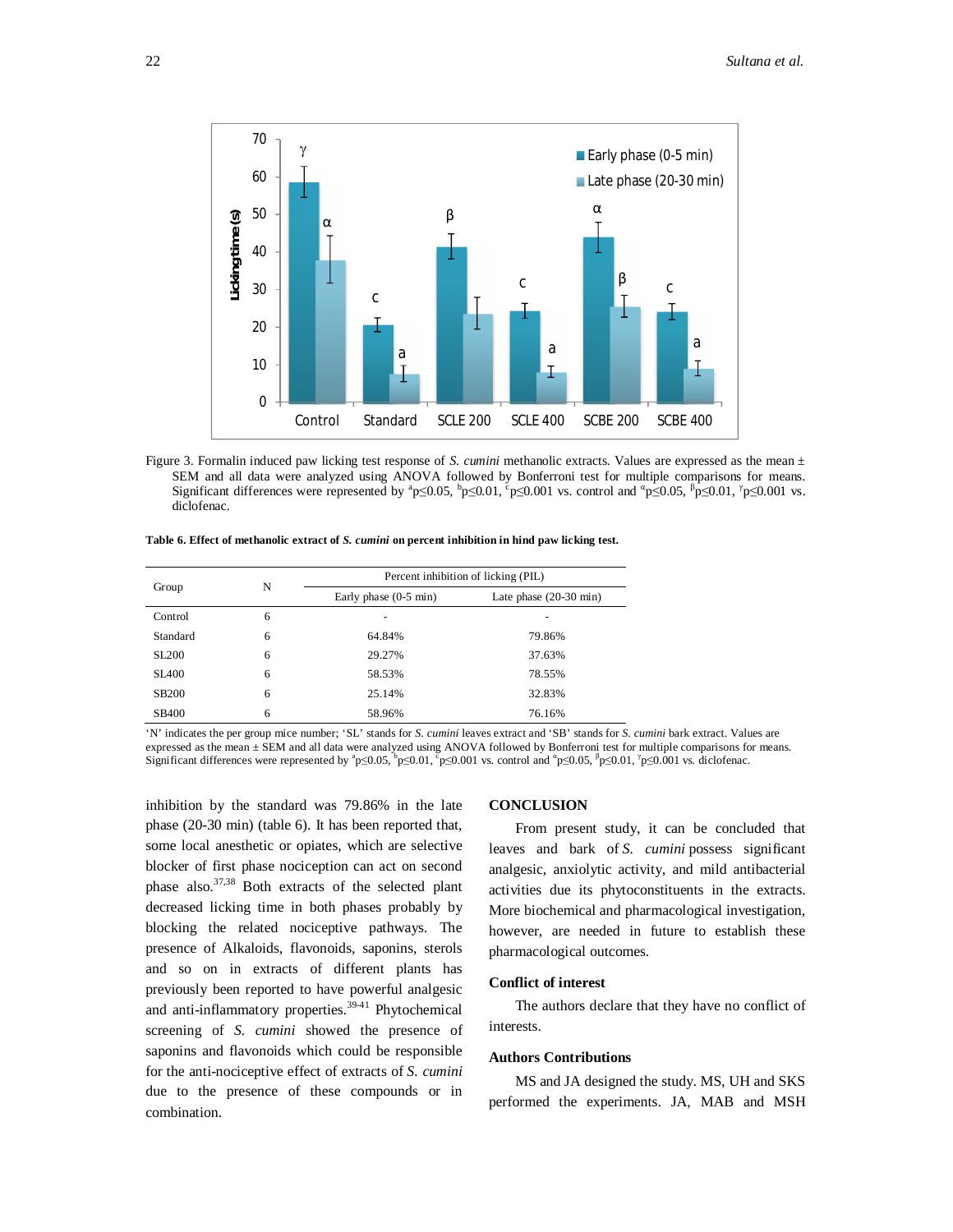

Figure 3. Formalin induced paw licking test response of *S. cumini* methanolic extracts. Values are expressed as the mean  $\pm$ SEM and all data were analyzed using ANOVA followed by Bonferroni test for multiple comparisons for means. Significant differences were represented by  ${}^{\circ}P \leq 0.05$ ,  ${}^{\circ}P \leq 0.01$ ,  ${}^{\circ}P \leq 0.001$  vs. control and  ${}^{\circ}P \leq 0.05$ ,  ${}^{\circ}P \leq 0.01$ ,  ${}^{\circ}P \leq 0.001$  vs. diclofenac.

| Table 6. Effect of methanolic extract of S. cumini on percent inhibition in hind paw licking test. |  |
|----------------------------------------------------------------------------------------------------|--|
|----------------------------------------------------------------------------------------------------|--|

|              | N | Percent inhibition of licking (PIL) |                                  |
|--------------|---|-------------------------------------|----------------------------------|
| Group        |   | Early phase $(0-5 \text{ min})$     | Late phase $(20-30 \text{ min})$ |
| Control      | 6 | -                                   |                                  |
| Standard     | 6 | 64.84%                              | 79.86%                           |
| <b>SL200</b> | 6 | 29.27%                              | 37.63%                           |
| <b>SL400</b> | 6 | 58.53%                              | 78.55%                           |
| <b>SB200</b> | 6 | 25.14%                              | 32.83%                           |
| <b>SB400</b> | 6 | 58.96%                              | 76.16%                           |

'N' indicates the per group mice number; 'SL' stands for *S. cumini* leaves extract and 'SB' stands for *S. cumini* bark extract. Values are expressed as the mean ± SEM and all data were analyzed using ANOVA followed by Bonferroni test for multiple comparisons for means. Significant differences were represented by  ${}^n p \le 0.05$ ,  ${}^b p \le 0.01$ ,  ${}^c p \le 0.001$  vs. control and  ${}^n p \le 0.05$ ,  ${}^b p \le 0.01$ ,  ${}^r p \le 0.001$  vs. diclofenac.

inhibition by the standard was 79.86% in the late phase (20-30 min) (table 6). It has been reported that, some local anesthetic or opiates, which are selective blocker of first phase nociception can act on second phase also. $37,38$  Both extracts of the selected plant decreased licking time in both phases probably by blocking the related nociceptive pathways. The presence of Alkaloids, flavonoids, saponins, sterols and so on in extracts of different plants has previously been reported to have powerful analgesic and anti-inflammatory properties. $39-41$  Phytochemical screening of *S. cumini* showed the presence of saponins and flavonoids which could be responsible for the anti-nociceptive effect of extracts of *S. cumini* due to the presence of these compounds or in combination.

#### **CONCLUSION**

From present study, it can be concluded that leaves and bark of *S. cumini* possess significant analgesic, anxiolytic activity, and mild antibacterial activities due its phytoconstituents in the extracts. More biochemical and pharmacological investigation, however, are needed in future to establish these pharmacological outcomes.

#### **Conflict of interest**

The authors declare that they have no conflict of interests.

#### **Authors Contributions**

MS and JA designed the study. MS, UH and SKS performed the experiments. JA, MAB and MSH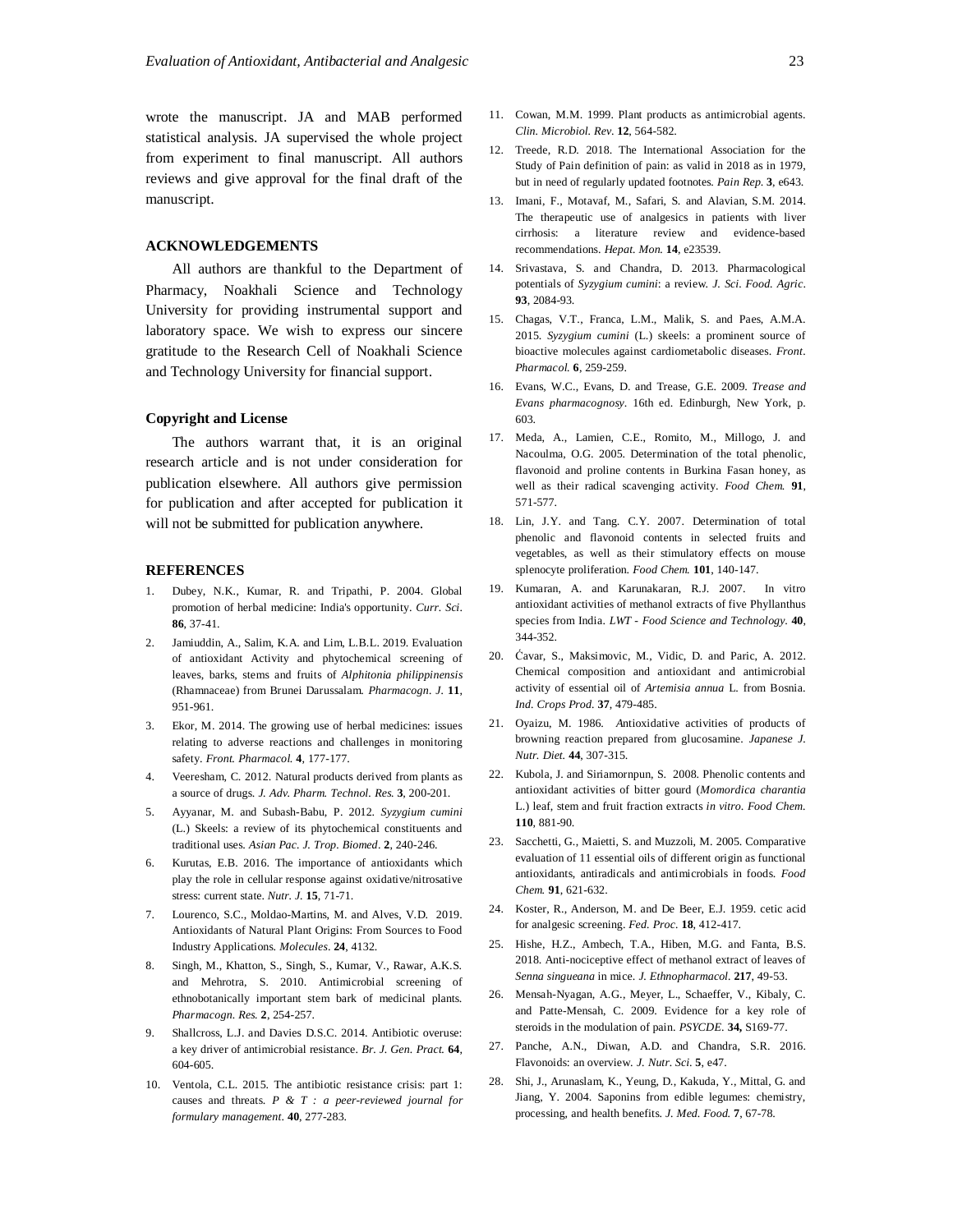wrote the manuscript. JA and MAB performed statistical analysis. JA supervised the whole project from experiment to final manuscript. All authors reviews and give approval for the final draft of the manuscript.

#### **ACKNOWLEDGEMENTS**

All authors are thankful to the Department of Pharmacy, Noakhali Science and Technology University for providing instrumental support and laboratory space. We wish to express our sincere gratitude to the Research Cell of Noakhali Science and Technology University for financial support.

#### **Copyright and License**

The authors warrant that, it is an original research article and is not under consideration for publication elsewhere. All authors give permission for publication and after accepted for publication it will not be submitted for publication anywhere.

#### **REFERENCES**

- 1. Dubey, N.K., Kumar, R. and Tripathi, P. 2004. Global promotion of herbal medicine: India's opportunity. *Curr. Sci*. **86**, 37-41.
- 2. Jamiuddin, A., Salim, K.A. and Lim, L.B.L. 2019. Evaluation of antioxidant Activity and phytochemical screening of leaves, barks, stems and fruits of *Alphitonia philippinensis* (Rhamnaceae) from Brunei Darussalam. *Pharmacogn. J.* **11**, 951-961.
- 3. Ekor, M. 2014. The growing use of herbal medicines: issues relating to adverse reactions and challenges in monitoring safety. *Front. Pharmacol.* **4**, 177-177.
- 4. Veeresham, C. 2012. Natural products derived from plants as a source of drugs. *J. Adv. Pharm. Technol. Res.* **3**, 200-201.
- 5. Ayyanar, M. and Subash-Babu, P. 2012. *Syzygium cumini*  (L.) Skeels: a review of its phytochemical constituents and traditional uses. *Asian Pac. J. Trop. Biomed*. **2**, 240-246.
- 6. Kurutas, E.B. 2016. The importance of antioxidants which play the role in cellular response against oxidative/nitrosative stress: current state. *Nutr. J.* **15**, 71-71.
- 7. Lourenco, S.C., Moldao-Martins, M. and Alves, V.D. 2019. Antioxidants of Natural Plant Origins: From Sources to Food Industry Applications. *Molecules*. **24**, 4132.
- 8. Singh, M., Khatton, S., Singh, S., Kumar, V., Rawar, A.K.S. and Mehrotra, S. 2010. Antimicrobial screening of ethnobotanically important stem bark of medicinal plants. *Pharmacogn. Res.* **2**, 254-257.
- Shallcross, L.J. and Davies D.S.C. 2014. Antibiotic overuse: a key driver of antimicrobial resistance. *Br. J. Gen. Pract.* **64**, 604-605.
- 10. Ventola, C.L. 2015. The antibiotic resistance crisis: part 1: causes and threats. *P & T : a peer-reviewed journal for formulary management*. **40**, 277-283.
- 11. Cowan, M.M. 1999. Plant products as antimicrobial agents. *Clin. Microbiol. Rev*. **12**, 564-582.
- 12. Treede, R.D. 2018. The International Association for the Study of Pain definition of pain: as valid in 2018 as in 1979, but in need of regularly updated footnotes. *Pain Rep*. **3**, e643.
- 13. Imani, F., Motavaf, M., Safari, S. and Alavian, S.M. 2014. The therapeutic use of analgesics in patients with liver cirrhosis: a literature review and evidence-based recommendations. *Hepat. Mon.* **14**, e23539.
- 14. Srivastava, S. and Chandra, D. 2013. Pharmacological potentials of *Syzygium cumini*: a review. *J. Sci. Food. Agric*. **93**, 2084-93.
- 15. Chagas, V.T., Franca, L.M., Malik, S. and Paes, A.M.A. 2015. *Syzygium cumini* (L.) skeels: a prominent source of bioactive molecules against cardiometabolic diseases. *Front. Pharmacol.* **6**, 259-259.
- 16. Evans, W.C., Evans, D. and Trease, G.E. 2009. *Trease and Evans pharmacognosy*. 16th ed. Edinburgh, New York, p. 603.
- 17. Meda, A., Lamien, C.E., Romito, M., Millogo, J. and Nacoulma, O.G. 2005. Determination of the total phenolic, flavonoid and proline contents in Burkina Fasan honey, as well as their radical scavenging activity. *Food Chem.* **91**, 571-577.
- 18. Lin, J.Y. and Tang. C.Y. 2007. Determination of total phenolic and flavonoid contents in selected fruits and vegetables, as well as their stimulatory effects on mouse splenocyte proliferation. *Food Chem.* **101**, 140-147.
- 19. Kumaran, A. and Karunakaran, R.J. 2007. In vitro antioxidant activities of methanol extracts of five Phyllanthus species from India. *LWT - Food Science and Technology*. **40**, 344-352.
- 20. Ćavar, S., Maksimovic, M., Vidic, D. and Paric, A. 2012. Chemical composition and antioxidant and antimicrobial activity of essential oil of *Artemisia annua* L. from Bosnia. *Ind. Crops Prod.* **37**, 479-485.
- 21. Oyaizu, M. 1986. *A*ntioxidative activities of products of browning reaction prepared from glucosamine. *Japanese J. Nutr. Diet.* **44**, 307-315.
- 22. Kubola, J. and Siriamornpun, S. 2008. Phenolic contents and antioxidant activities of bitter gourd (*Momordica charantia*  L.) leaf, stem and fruit fraction extracts *in vitro*. *Food Chem.* **110**, 881-90.
- 23. Sacchetti, G., Maietti, S. and Muzzoli, M. 2005. Comparative evaluation of 11 essential oils of different origin as functional antioxidants, antiradicals and antimicrobials in foods. *Food Chem.* **91**, 621-632.
- 24. Koster, R., Anderson, M. and De Beer, E.J. 1959. cetic acid for analgesic screening. *Fed. Proc.* **18**, 412-417.
- 25. Hishe, H.Z., Ambech, T.A., Hiben, M.G. and Fanta, B.S. 2018. Anti-nociceptive effect of methanol extract of leaves of *Senna singueana* in mice. *J. Ethnopharmacol.* **217**, 49-53.
- 26. Mensah-Nyagan, A.G., Meyer, L., Schaeffer, V., Kibaly, C. and Patte-Mensah, C. 2009. Evidence for a key role of steroids in the modulation of pain. *PSYCDE*. **34,** S169-77.
- 27. Panche, A.N., Diwan, A.D. and Chandra, S.R. 2016. Flavonoids: an overview. *J. Nutr. Sci*. **5**, e47.
- 28. Shi, J., Arunaslam, K., Yeung, D., Kakuda, Y., Mittal, G. and Jiang, Y. 2004. Saponins from edible legumes: chemistry, processing, and health benefits. *J. Med. Food.* **7**, 67-78.